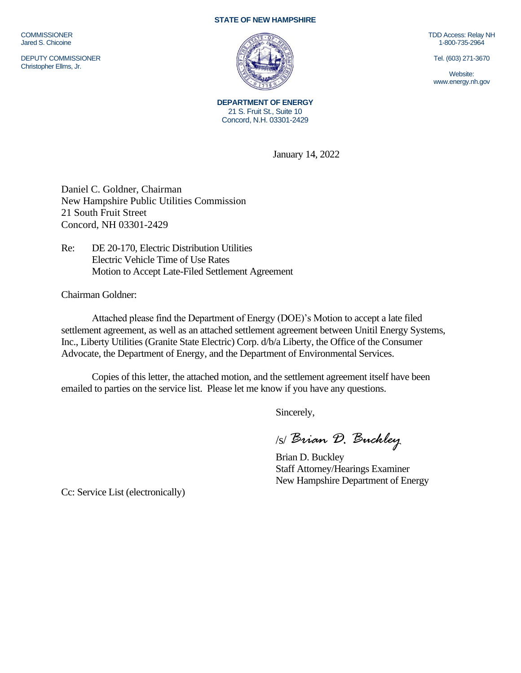**COMMISSIONER** Jared S. Chicoine

DEPUTY COMMISSIONER Christopher Ellms, Jr.

## **STATE OF NEW HAMPSHIRE**



**DEPARTMENT OF ENERGY** 21 S. Fruit St., Suite 10 Concord, N.H. 03301-2429

January 14, 2022

Daniel C. Goldner, Chairman New Hampshire Public Utilities Commission 21 South Fruit Street Concord, NH 03301-2429

Re: DE 20-170, Electric Distribution Utilities Electric Vehicle Time of Use Rates Motion to Accept Late-Filed Settlement Agreement

Chairman Goldner:

Attached please find the Department of Energy (DOE)'s Motion to accept a late filed settlement agreement, as well as an attached settlement agreement between Unitil Energy Systems, Inc., Liberty Utilities (Granite State Electric) Corp. d/b/a Liberty, the Office of the Consumer Advocate, the Department of Energy, and the Department of Environmental Services.

Copies of this letter, the attached motion, and the settlement agreement itself have been emailed to parties on the service list. Please let me know if you have any questions.

Sincerely,

/s/ *Brian D. Buckley*

Brian D. Buckley Staff Attorney/Hearings Examiner New Hampshire Department of Energy

Cc: Service List (electronically)

TDD Access: Relay NH 1-800-735-2964

Tel. (603) 271-3670

Website: www.energy.nh.gov